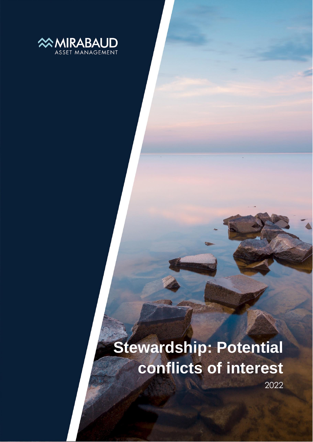

# **Stewardship: Potential conflicts of interest**

2022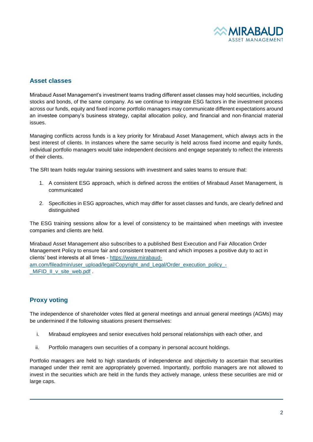

# **Asset classes**

Mirabaud Asset Management's investment teams trading different asset classes may hold securities, including stocks and bonds, of the same company. As we continue to integrate ESG factors in the investment process across our funds, equity and fixed income portfolio managers may communicate different expectations around an investee company's business strategy, capital allocation policy, and financial and non-financial material issues.

Managing conflicts across funds is a key priority for Mirabaud Asset Management, which always acts in the best interest of clients. In instances where the same security is held across fixed income and equity funds, individual portfolio managers would take independent decisions and engage separately to reflect the interests of their clients.

The SRI team holds regular training sessions with investment and sales teams to ensure that:

- 1. A consistent ESG approach, which is defined across the entities of Mirabaud Asset Management, is communicated
- 2. Specificities in ESG approaches, which may differ for asset classes and funds, are clearly defined and distinguished

The ESG training sessions allow for a level of consistency to be maintained when meetings with investee companies and clients are held.

Mirabaud Asset Management also subscribes to a published Best Execution and Fair Allocation Order Management Policy to ensure fair and consistent treatment and which imposes a positive duty to act in clients' best interests at all times - [https://www.mirabaud](https://www.mirabaud-am.com/fileadmin/user_upload/legal/Copyright_and_Legal/Order_execution_policy_-_MiFID_II_v_site_web.pdf)[am.com/fileadmin/user\\_upload/legal/Copyright\\_and\\_Legal/Order\\_execution\\_policy\\_-](https://www.mirabaud-am.com/fileadmin/user_upload/legal/Copyright_and_Legal/Order_execution_policy_-_MiFID_II_v_site_web.pdf) [\\_MiFID\\_II\\_v\\_site\\_web.pdf](https://www.mirabaud-am.com/fileadmin/user_upload/legal/Copyright_and_Legal/Order_execution_policy_-_MiFID_II_v_site_web.pdf) .

## **Proxy voting**

The independence of shareholder votes filed at general meetings and annual general meetings (AGMs) may be undermined if the following situations present themselves:

- i. Mirabaud employees and senior executives hold personal relationships with each other, and
- ii. Portfolio managers own securities of a company in personal account holdings.

Portfolio managers are held to high standards of independence and objectivity to ascertain that securities managed under their remit are appropriately governed. Importantly, portfolio managers are not allowed to invest in the securities which are held in the funds they actively manage, unless these securities are mid or large caps.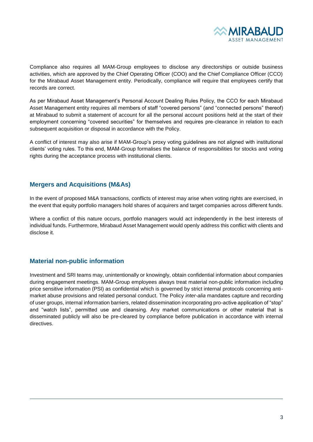

Compliance also requires all MAM-Group employees to disclose any directorships or outside business activities, which are approved by the Chief Operating Officer (COO) and the Chief Compliance Officer (CCO) for the Mirabaud Asset Management entity. Periodically, compliance will require that employees certify that records are correct.

As per Mirabaud Asset Management's Personal Account Dealing Rules Policy, the CCO for each Mirabaud Asset Management entity requires all members of staff "covered persons" (and "connected persons" thereof) at Mirabaud to submit a statement of account for all the personal account positions held at the start of their employment concerning "covered securities" for themselves and requires pre-clearance in relation to each subsequent acquisition or disposal in accordance with the Policy.

A conflict of interest may also arise if MAM-Group's proxy voting guidelines are not aligned with institutional clients' voting rules. To this end, MAM-Group formalises the balance of responsibilities for stocks and voting rights during the acceptance process with institutional clients.

#### **Mergers and Acquisitions (M&As)**

In the event of proposed M&A transactions, conflicts of interest may arise when voting rights are exercised, in the event that equity portfolio managers hold shares of acquirers and target companies across different funds.

Where a conflict of this nature occurs, portfolio managers would act independently in the best interests of individual funds. Furthermore, Mirabaud Asset Management would openly address this conflict with clients and disclose it.

## **Material non-public information**

Investment and SRI teams may, unintentionally or knowingly, obtain confidential information about companies during engagement meetings. MAM-Group employees always treat material non-public information including price sensitive information (PSI) as confidential which is governed by strict internal protocols concerning antimarket abuse provisions and related personal conduct. The Policy *inter-alia* mandates capture and recording of user groups, internal information barriers, related dissemination incorporating pro-active application of "stop" and "watch lists", permitted use and cleansing. Any market communications or other material that is disseminated publicly will also be pre-cleared by compliance before publication in accordance with internal directives.